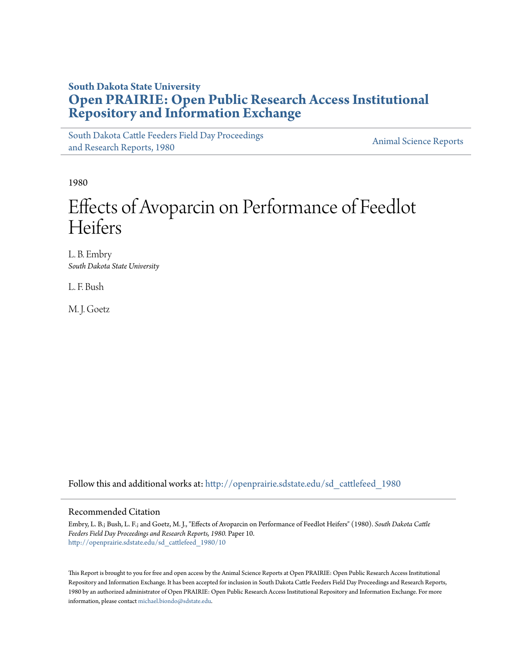# **South Dakota State University [Open PRAIRIE: Open Public Research Access Institutional](http://openprairie.sdstate.edu?utm_source=openprairie.sdstate.edu%2Fsd_cattlefeed_1980%2F10&utm_medium=PDF&utm_campaign=PDFCoverPages) [Repository and Information Exchange](http://openprairie.sdstate.edu?utm_source=openprairie.sdstate.edu%2Fsd_cattlefeed_1980%2F10&utm_medium=PDF&utm_campaign=PDFCoverPages)**

[South Dakota Cattle Feeders Field Day Proceedings](http://openprairie.sdstate.edu/sd_cattlefeed_1980?utm_source=openprairie.sdstate.edu%2Fsd_cattlefeed_1980%2F10&utm_medium=PDF&utm_campaign=PDFCoverPages) [and Research Reports, 1980](http://openprairie.sdstate.edu/sd_cattlefeed_1980?utm_source=openprairie.sdstate.edu%2Fsd_cattlefeed_1980%2F10&utm_medium=PDF&utm_campaign=PDFCoverPages)<br>and Research Reports, 1980

1980

# Effects of Avoparcin on Performance of Feedlot Heifers

L. B. Embry *South Dakota State University*

L. F. Bush

M. J. Goetz

Follow this and additional works at: [http://openprairie.sdstate.edu/sd\\_cattlefeed\\_1980](http://openprairie.sdstate.edu/sd_cattlefeed_1980?utm_source=openprairie.sdstate.edu%2Fsd_cattlefeed_1980%2F10&utm_medium=PDF&utm_campaign=PDFCoverPages)

## Recommended Citation

Embry, L. B.; Bush, L. F.; and Goetz, M. J., "Effects of Avoparcin on Performance of Feedlot Heifers" (1980). *South Dakota Cattle Feeders Field Day Proceedings and Research Reports, 1980.* Paper 10. [http://openprairie.sdstate.edu/sd\\_cattlefeed\\_1980/10](http://openprairie.sdstate.edu/sd_cattlefeed_1980/10?utm_source=openprairie.sdstate.edu%2Fsd_cattlefeed_1980%2F10&utm_medium=PDF&utm_campaign=PDFCoverPages)

This Report is brought to you for free and open access by the Animal Science Reports at Open PRAIRIE: Open Public Research Access Institutional Repository and Information Exchange. It has been accepted for inclusion in South Dakota Cattle Feeders Field Day Proceedings and Research Reports, 1980 by an authorized administrator of Open PRAIRIE: Open Public Research Access Institutional Repository and Information Exchange. For more information, please contact [michael.biondo@sdstate.edu](mailto:michael.biondo@sdstate.edu).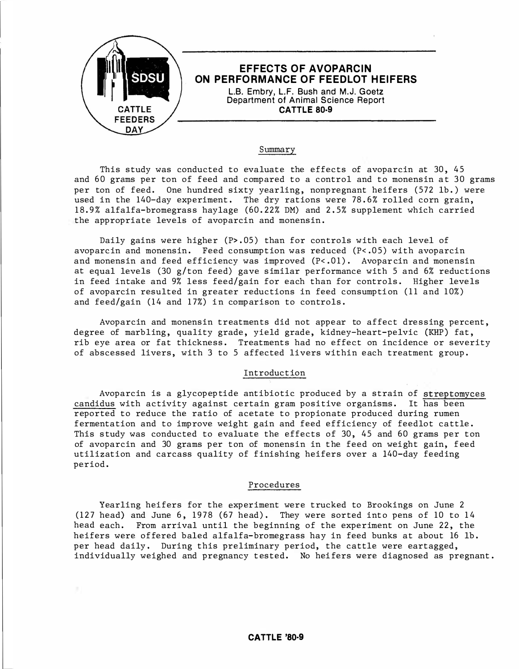

#### Summary

This study was conducted to evaluate the effects of avoparcin at 30, 45 and 60 grams per ton of feed and compared to a control and to monensin at 30 grams per ton of feed. One hundred sixty yearling, nonpregnant heifers (572 lb.) were used in the 140-day experiment. The dry rations were 78.6% rolled corn grain, 18.9% alfalfa-bromegrass haylage (60.22% DM) and 2.5% supplement which carried the appropriate levels of avoparcin and monensin .

Daily gains were higher (P> . 05) than for controls with each level of avoparcin and monensin. Feed consumption was reduced (P<.05) with avoparcin and monensin and feed efficiency was improved (P< . 01) . Avoparcin and monensin at equal levels (30 g/ton feed) gave similar performance with 5 and  $6%$  reductions in feed intake and 9% less feed/gain for each than for controls. Higher levels of avoparcin resulted in greater reductions in feed consumption (11 and 10%) and feed/gain (14 and 17%) in comparison to controls.

Avoparcin and monensin treatments did not appear to affect dressing percent , degree of marbling, quality grade, yield grade, kidney-heart-pelvic (KHP) fat, rib eye area or fat thickness. Treatments had no effect on incidence or severity of abscessed livers, with 3 to 5 affected livers within each treatment group.

#### Introduct ion

Avoparcin is a glycopeptide antibiotic produced by a strain of streptomyces candidus with activity against certain gram positive organisms. It has been r eported to reduce the ratio of acetate to propionate produced during rumen fermentation and to improve weight gain and feed efficiency of feedlot cattle. This study was conducted to evaluate the effects of  $30$ ,  $45$  and  $60$  grams per ton of avoparcin and 30 grams per ton of monensin in the feed on weight gain, feed utilization and carcass quality of finishing heifers over a 140-day feeding period .

### Procedures

Yearling heifers for the experiment were trucked to Brookings on June 2 (127 head) and June  $6$ , 1978 (67 head). They were sorted into pens of 10 to 14 head each. From arrival until the beginning of the experiment on June 22, the heifers were offered baled alfalfa-bromegrass hay in feed bunks at about 16 1b. per head daily. During this preliminary period, the cattle were eartagged, individually weighed and pregnancy tested. No heifers were diagnosed as pregnant.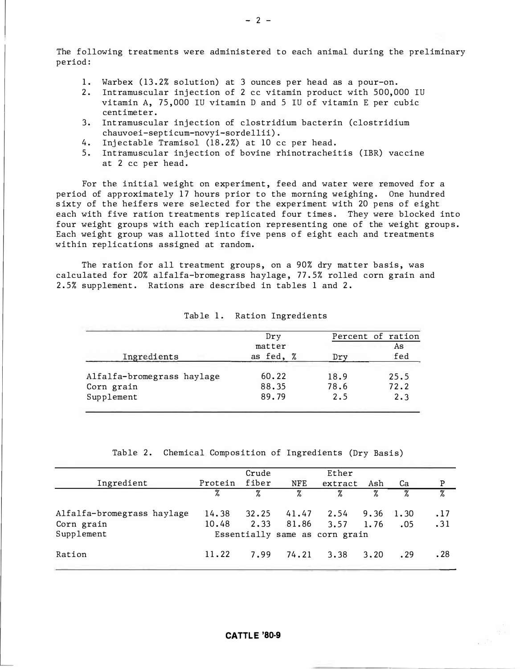The following treatments were administered to each animal during the preliminary period :

- 1. Warbex (13.2% solution) at 3 ounces per head as a pour-on.
- 2. Intramuscular injection of 2 cc vitamin product with 500,000 IU vitamin A, 75 , 000 IU vitamin D and 5 IU of vitamin E per cubic centimeter .
- 3. Int ramuscular inj ection of clostridium bacterin (clostridium chauvoei-septicum-novyi-sordellii).
- 4. Injectable Tramisol (18.2%) at 10 cc per head.
- 5. Intramuscular injection of bovine rhinotracheitis (IBR) vaccine at 2 cc per head.

For the initial weight on experiment, feed and water were removed for a period of approximately 17 hours prior to the morning weighing. One hundred sixty of the heifers were selected for the experiment with 20 pens of eight each with five ration treatments replicated four times. They were blocked into four weight groups with each replication representing one of the weight groups. Each weight group was allotted into five pens of eight each and treatments within replications assigned at random.

The ration for all treatment groups, on a 90% dry matter basis, was calculated for 20% alfalfa-bromegrass haylage, 77.5% rolled corn grain and 2.5% supplement. Rations are described in tables 1 and 2.

|                            | Dry       |      | Percent of ration |
|----------------------------|-----------|------|-------------------|
|                            | matter    |      | As                |
| Ingredients                | as fed, % |      | fed               |
| Alfalfa-bromegrass haylage | 60.22     | 18.9 | 25.5              |
| Corn grain                 | 88.35     | 78.6 | 72.2              |
| Supplement                 | 89.79     | 2.5  | 2.3               |
|                            |           |      |                   |

| Table 1. |  | Ration Ingredients |
|----------|--|--------------------|
|----------|--|--------------------|

Table 2. Chemical Composition of Ingredients (Dry Basis)

|                            |         | Crude |       | Ether                          |      |      |      |
|----------------------------|---------|-------|-------|--------------------------------|------|------|------|
| Ingredient                 | Protein | fiber | NFE   | extract                        | Ash  | Сa   | P    |
|                            | %       | %     | %     | %                              | %    | $\%$ | $\%$ |
|                            |         |       |       |                                |      |      |      |
| Alfalfa-bromegrass haylage | 14.38   | 32.25 | 41.47 | 2.54                           | 9.36 | 1.30 | .17  |
| Corn grain                 | 10.48   | 2.33  |       | 81.86 3.57                     | 1.76 | .05  | .31  |
| Supplement                 |         |       |       | Essentially same as corn grain |      |      |      |
|                            |         |       |       |                                |      |      |      |
| Ration                     | 11.22   | 7.99  | 74.21 | 3.38                           | 3.20 | . 29 | .28  |
|                            |         |       |       |                                |      |      |      |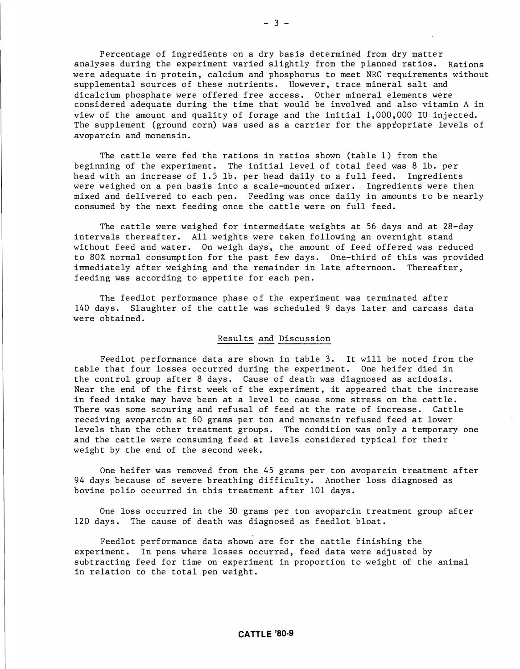Percentage of ingredients on a dry basis determined from dry matter analyses during the experiment varied slightly from the planned ratios. Rations were adequate in protein, calcium and phosphorus to meet NRC requirements without supplemental sources of these nutrients. However, trace mineral salt and dicalcium phosphate were offered free access. Other mineral elements were considered adequate during the time that would be involved and also vitamin A in view of the amount and quality of forage and the initial  $1,000,000$  IU injected. The supplement (ground corn) was used as a carrier for the appropriate levels of avoparcin and monens in.

The cattle were fed the rations in ratios shown (table 1) from the beginning of the experiment. The initial level of total feed was 8 lb. per head with an increase of 1.5 lb. per head daily to a full feed. Ingredients were weighed on a pen basis into a scale-mounted mixer. Ingredients were then mixed and delivered to each pen. Feeding was once daily in amounts to be nearly consumed by the next feeding once the cattle were on full feed.

The cattle were weighed for intermediate weights at 56 days and at 28-day intervals thereafter. All weights were taken following an overnight stand without feed and water. On weigh days, the amount of feed offered was reduced to 80% normal consumption for the past few days. One-third of this was provided immediately after weighing and the remainder in late afternoon. Thereafter, feeding was according to appetite for each pen.

The feedlot performance phase of the experiment was terminated after 140 days. Slaughter of the cattle was scheduled 9 days later and carcass data were obtained.

#### Results and Discussion

Feedlot performance data are shown in table 3. It will be noted from the table that four losses occurred during the experiment. One heifer died in the control group after 8 days. Cause of death was diagnosed as acidosis. Near the end of the first week of the experiment, it appeared that the increase in feed intake may have been at a level to cause some stress on the cattle. There was some scouring and refusal of feed at the rate of increase. Cattle receiving avoparcin at 60 grams per ton and monensin refused feed at lower levels than the other treatment groups. The condition was only a temporary one and the cattle were consuming feed at levels considered typical for their weight by the end of the second week.

One heifer was removed from the 45 grams per ton avoparcin treatment after 94 days because of severe breathing difficulty. Another loss diagnosed as b ovine polio occurred in this treatment after 101 days .

One loss occurred in the 30 grams per ton avoparcin treatment group after 120 days. The cause of death was diagnosed as feedlot bloat.

Feedlot performance data shown are for the cattle finishing the experiment. In pens where losses occurred, feed data were adjusted by subtracting feed for time on experiment in proportion to weight of the animal in relation to the total pen weight.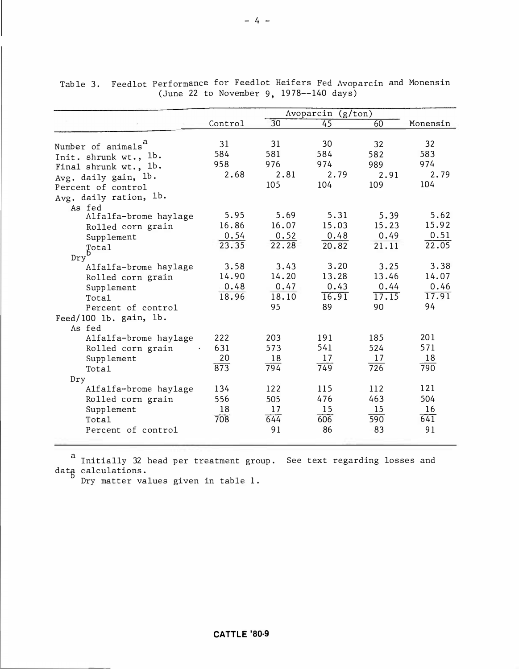|                                  | Avoparcin (g/ton) |       |       |                    |          |
|----------------------------------|-------------------|-------|-------|--------------------|----------|
|                                  | Control           | 30    | 45    | 60                 | Monensin |
| Number of animals <sup>a</sup>   | 31                | 31    | 30    | 32                 | 32       |
| Init, shrunk wt., 1b.            | 584               | 581   | 584   | 582                | 583      |
| Final shrunk wt., 1b.            | 958               | 976   | 974   | 989                | 974      |
| Avg. daily gain, $1b$ .          | 2.68              | 2.81  | 2.79  | 2.91               | 2.79     |
| Percent of control               |                   | 105   | 104   | 109                | 104      |
| Avg. daily ration, 1b.<br>As fed |                   |       |       |                    |          |
| Alfalfa-brome haylage            | 5.95              | 5.69  | 5.31  | 5.39               | 5.62     |
| Rolled corn grain                | 16.86             | 16.07 | 15.03 | 15.23              | 15.92    |
| Supplement                       | 0.54              | 0.52  | 0.48  | 0.49               | 0.51     |
| Total                            | 23.35             | 22.28 | 20.82 | $\overline{21.11}$ | 22.05    |
| b<br>Dry                         |                   |       |       |                    |          |
| Alfalfa-brome haylage            | 3.58              | 3.43  | 3.20  | 3.25               | 3.38     |
| Rolled corn grain                | 14.90             | 14.20 | 13.28 | 13.46              | 14.07    |
| Supplement                       | 0.48              | 0.47  | 0.43  | 0.44               | 0.46     |
| Total                            | 18.96             | 18.10 | 16.91 | 17.15              | 17.91    |
| Percent of control               |                   | 95    | 89    | 90                 | 94       |
| Feed/100 1b. gain, 1b.           |                   |       |       |                    |          |
| As fed                           |                   |       |       |                    |          |
| Alfalfa-brome haylage            | 222               | 203   | 191   | 185                | 201      |
| Rolled corn grain                | 631               | 573   | 541   | 524                | 571      |
| Supplement                       | 20                | 18    | 17    | 17                 | 18       |
| Total                            | 873               | 794   | 749   | $\frac{1}{726}$    | 790      |
| Dry                              |                   |       |       |                    |          |
| Alfalfa-brome haylage            | 134               | 122   | 115   | 112                | 121      |
| Rolled corn grain                | 556               | 505   | 476   | 463                | 504      |
| Supplement                       | 18                | 17    | 15    | 15                 | 16       |
| Total                            | $\frac{1}{708}$   | 644   | 606   | $\overline{590}$   | 641      |
| Percent of control               |                   | 91    | 86    | 83                 | 91       |

Table 3. Feedlot Performance for Feedlot Heifers Fed Avoparcin and Monensin ( June 22 to November 9, 1978--140 days)

<sup>a</sup> Initially 32 head per treatment group. See text regarding losses and datg calculations .

Dry matter values given in table 1.